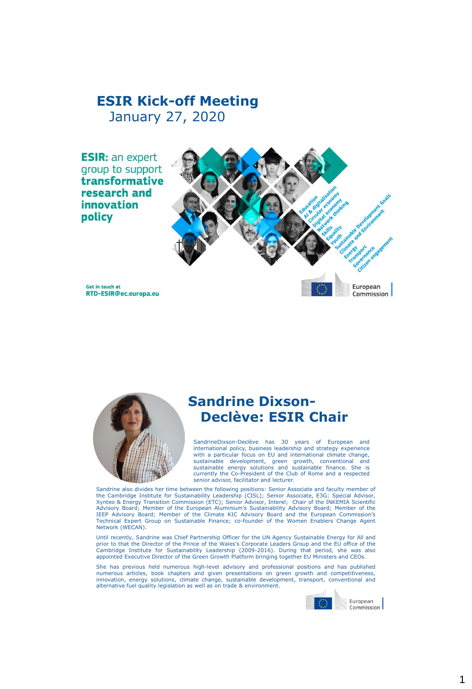# **ESIR Kick-off Meeting** January 27, 2020

**ESIR: an expert** group to support transformative research and innovation policy



Get in touch at RTD-ESIR@ec.europa.eu



# **Sandrine Dixson-Declève: ESIR Chair**

SandrineDixson-Declève has 30 years of European and international policy, business leadership and strategy experience with a particular focus on EU and international climate change, sustainable development, green growth, conventional and sustainable energy solutions and sustainable finance. She is currently the Co-President of the Club of Rome and a respected senior advisor, facilitator and lecturer.

Sandrine also divides her time between the following positions: Senior Associate and faculty member of the Cambridge Institute for Sustainability Leadership (CISL); Senior Associate, E3G; Special Advisor, Xynteo & Energy Transition Commission (ETC); Senior Advisor, Interel; Chair of the INKEMIA Scientific Advisory Board; Member of the European Aluminium's Sustainability Advisory Board; Member of the IEEP Advisory Board; Member of the Climate KIC Advisory Board and the European Commission's Technical Expert Group on Sustainable Finance; co-founder of the Women Enablers Change Agent Network (WECAN).

Until recently, Sandrine was Chief Partnership Officer for the UN Agency Sustainable Energy for All and<br>prior to that the Director of the Prince of the Wales's Corporate Leaders Group and the EU office of the<br>Cambridge Ins appointed Executive Director of the Green Growth Platform bringing together EU Ministers and CEOs.

She has previous held numerous high-level advisory and professional positions and has published numerous articles, book chapters and given presentations on green growth and competitiveness,<br>innovation, energy solutions, climate change, sustainable development, transport, conventional and<br>alternative-fuel-quality-legi

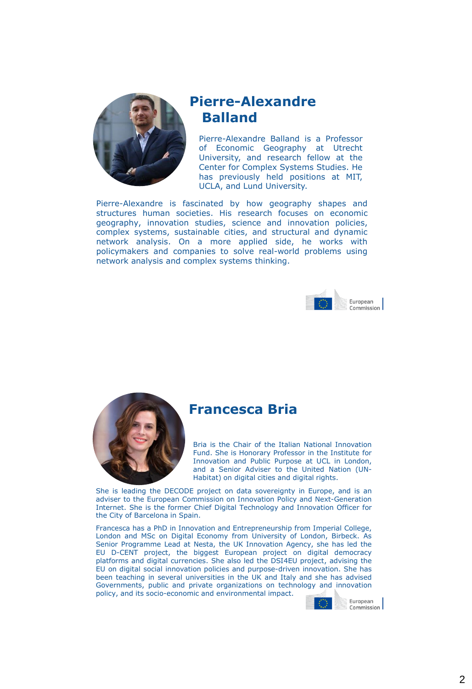

# **Pierre-Alexandre Balland**

Pierre-Alexandre Balland is a Professor of Economic Geography at Utrecht University, and research fellow at the Center for Complex Systems Studies. He has previously held positions at MIT, UCLA, and Lund University.

Pierre-Alexandre is fascinated by how geography shapes and structures human societies. His research focuses on economic geography, innovation studies, science and innovation policies, complex systems, sustainable cities, and structural and dynamic network analysis. On a more applied side, he works with policymakers and companies to solve real-world problems using network analysis and complex systems thinking.





#### **Francesca Bria**

Bria is the Chair of the Italian National Innovation Fund. She is Honorary Professor in the Institute for Innovation and Public Purpose at UCL in London, and a Senior Adviser to the United Nation (UN-Habitat) on digital cities and digital rights.

She is leading the DECODE project on data sovereignty in Europe, and is an adviser to the European Commission on Innovation Policy and Next-Generation Internet. She is the former Chief Digital Technology and Innovation Officer for the City of Barcelona in Spain.

Francesca has a PhD in Innovation and Entrepreneurship from Imperial College, London and MSc on Digital Economy from University of London, Birbeck. As Senior Programme Lead at Nesta, the UK Innovation Agency, she has led the EU D-CENT project, the biggest European project on digital democracy platforms and digital currencies. She also led the DSI4EU project, advising the EU on digital social innovation policies and purpose-driven innovation. She has been teaching in several universities in the UK and Italy and she has advised Governments, public and private organizations on technology and innovation policy, and its socio-economic and environmental impact.

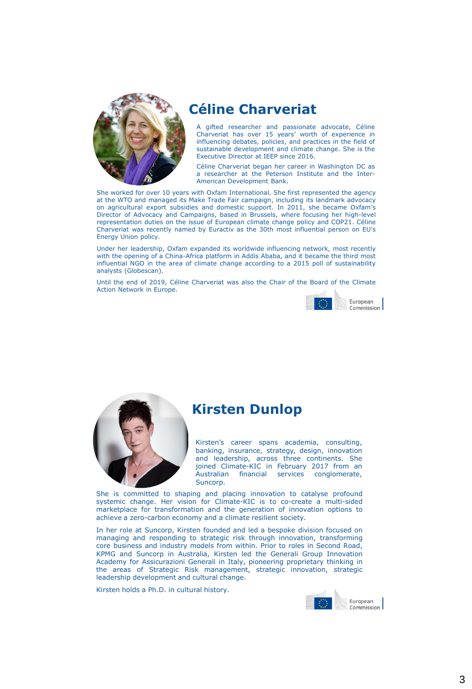

# **Céline Charveriat**

A gifted researcher and passionate advocate, Céline Charveriat has over 15 years' worth of experience in influencing debates, policies, and practices in the field of sustainable development and climate change. She is the Executive Director at IEEP since 2016.

Céline Charveriat began her career in Washington DC as a researcher at the Peterson Institute and the Inter-American Development Bank.

She worked for over 10 years with Oxfam International. She first represented the agency at the WTO and managed its Make Trade Fair campaign, including its landmark advocacy on agricultural export subsidies and domestic support. In 2011, she became Oxfam's Director of Advocacy and Campaigns, based in Brussels, where focusing her high-level representation duties on the issue of European climate change policy and COP21. Céline Charveriat was recently named by Euractiv as the 30th most influential person on EU's Energy Union policy.

Under her leadership, Oxfam expanded its worldwide influencing network, most recently with the opening of a China-Africa platform in Addis Ababa, and it became the third most influential NGO in the area of climate change according to a 2015 poll of sustainability analysts (Globescan).

Until the end of 2019, Céline Charveriat was also the Chair of the Board of the Climate Action Network in Europe.





### **Kirsten Dunlop**

Kirsten's career spans academia, consulting, banking, insurance, strategy, design, innovation and leadership, across three continents. She joined Climate-KIC in February 2017 from an<br>Australian financial services conglomerate. financial services conglomerate, Suncorp.

She is committed to shaping and placing innovation to catalyse profound systemic change. Her vision for Climate-KIC is to co-create a multi-sided marketplace for transformation and the generation of innovation options to achieve a zero-carbon economy and a climate resilient society.

In her role at Suncorp, Kirsten founded and led a bespoke division focused on managing and responding to strategic risk through innovation, transforming core business and industry models from within. Prior to roles in Second Road, KPMG and Suncorp in Australia, Kirsten led the Generali Group Innovation Academy for Assicurazioni Generali in Italy, pioneering proprietary thinking in the areas of Strategic Risk management, strategic innovation, strategic leadership development and cultural change.

Kirsten holds a Ph.D. in cultural history.

![](_page_2_Picture_14.jpeg)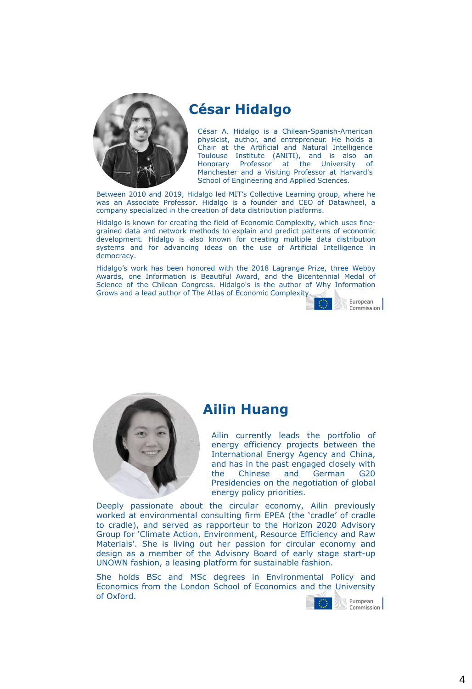![](_page_3_Picture_0.jpeg)

# **César Hidalgo**

César A. Hidalgo is a Chilean-Spanish-American physicist, author, and entrepreneur. He holds a Chair at the Artificial and Natural Intelligence Toulouse Institute (ANITI), and is also an Honorary Professor at the University of Manchester and a Visiting Professor at Harvard's School of Engineering and Applied Sciences.

Between 2010 and 2019, Hidalgo led MIT's Collective Learning group, where he was an Associate Professor. Hidalgo is a founder and CEO of Datawheel, a company specialized in the creation of data distribution platforms.

Hidalgo is known for creating the field of Economic Complexity, which uses finegrained data and network methods to explain and predict patterns of economic development. Hidalgo is also known for creating multiple data distribution systems and for advancing ideas on the use of Artificial Intelligence in democracy.

Hidalgo's work has been honored with the 2018 Lagrange Prize, three Webby Awards, one Information is Beautiful Award, and the Bicentennial Medal of Science of the Chilean Congress. Hidalgo's is the author of Why Information Grows and a lead author of The Atlas of Economic Complexity.

![](_page_3_Picture_6.jpeg)

![](_page_3_Picture_7.jpeg)

#### **Ailin Huang**

Ailin currently leads the portfolio of energy efficiency projects between the International Energy Agency and China, and has in the past engaged closely with the Chinese and German G20 Presidencies on the negotiation of global energy policy priorities.

Deeply passionate about the circular economy, Ailin previously worked at environmental consulting firm EPEA (the 'cradle' of cradle to cradle), and served as rapporteur to the Horizon 2020 Advisory Group for 'Climate Action, Environment, Resource Efficiency and Raw Materials'. She is living out her passion for circular economy and design as a member of the Advisory Board of early stage start-up UNOWN fashion, a leasing platform for sustainable fashion.

She holds BSc and MSc degrees in Environmental Policy and Economics from the London School of Economics and the University of Oxford.

![](_page_3_Picture_12.jpeg)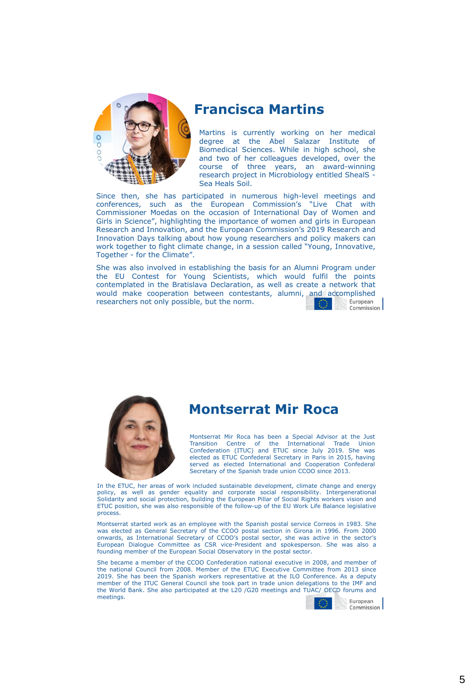![](_page_4_Picture_0.jpeg)

### **Francisca Martins**

Martins is currently working on her medical degree at the Abel Salazar Institute of Biomedical Sciences. While in high school, she and two of her colleagues developed, over the course of three years, an award-winning research project in Microbiology entitled ShealS - Sea Heals Soil.

Since then, she has participated in numerous high-level meetings and conferences, such as the European Commission's "Live Chat with Commissioner Moedas on the occasion of International Day of Women and Girls in Science", highlighting the importance of women and girls in European Research and Innovation, and the European Commission's 2019 Research and Innovation Days talking about how young researchers and policy makers can work together to fight climate change, in a session called "Young, Innovative, Together - for the Climate".

She was also involved in establishing the basis for an Alumni Program under the EU Contest for Young Scientists, which would fulfil the points contemplated in the Bratislava Declaration, as well as create a network that would make cooperation between contestants, alumni, and accomplished researchers not only possible, but the norm. European Commission

![](_page_4_Picture_5.jpeg)

### **Montserrat Mir Roca**

Montserrat Mir Roca has been a Special Advisor at the Just Transition Centre of the International Trade Union Confederation (ITUC) and ETUC since July 2019. She was elected as ETUC Confederal Secretary in Paris in 2015, having served as elected International and Cooperation Confederal Secretary of the Spanish trade union CCOO since 2013.

In the ETUC, her areas of work included sustainable development, climate change and energy policy, as well as gender equality and corporate social responsibility. Intergenerational Solidarity and social protection, building the European Pillar of Social Rights workers vision and ETUC position, she was also responsible of the follow-up of the EU Work Life Balance legislative process.

Montserrat started work as an employee with the Spanish postal service Correos in 1983. She was elected as General Secretary of the CCOO postal section in Girona in 1996. From 2000 onwards, as International Secretary of CCOO's postal sector, she was active in the sector's European Dialogue Committee as CSR vice-President and spokesperson. She was also a founding member of the European Social Observatory in the postal sector.

She became a member of the CCOO Confederation national executive in 2008, and member of the national Council from 2008. Member of the ETUC Executive Committee from 2013 since 2019. She has been the Spanish workers representative at the ILO Conference. As a deputy member of the ITUC General Council she took part in trade union delegations to the IMF and the World Bank. She also participated at the L20 /G20 meetings and TUAC/ OECD forums and meetings.

![](_page_4_Picture_11.jpeg)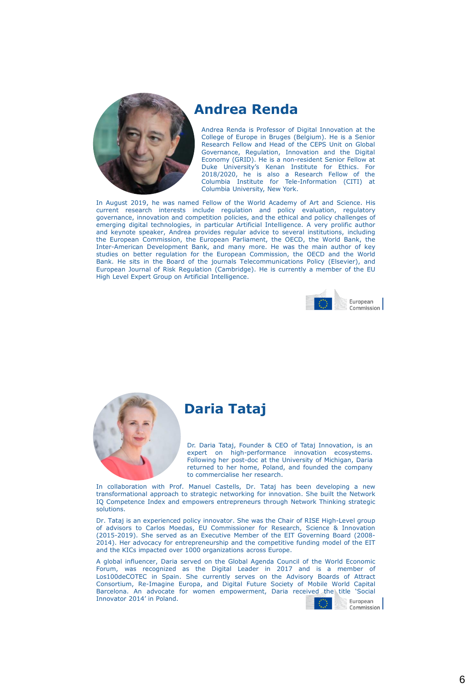![](_page_5_Picture_0.jpeg)

#### **Andrea Renda**

Andrea Renda is Professor of Digital Innovation at the College of Europe in Bruges (Belgium). He is a Senior Research Fellow and Head of the CEPS Unit on Global Governance, Regulation, Innovation and the Digital Economy (GRID). He is a non-resident Senior Fellow at Duke University's Kenan Institute for Ethics. For 2018/2020, he is also a Research Fellow of the Columbia Institute for Tele-Information (CITI) at Columbia University, New York.

In August 2019, he was named Fellow of the World Academy of Art and Science. His current research interests include regulation and policy evaluation, regulatory governance, innovation and competition policies, and the ethical and policy challenges of emerging digital technologies, in particular Artificial Intelligence. A very prolific author and keynote speaker, Andrea provides regular advice to several institutions, including the European Commission, the European Parliament, the OECD, the World Bank, the Inter-American Development Bank, and many more. He was the main author of key studies on better regulation for the European Commission, the OECD and the World Bank. He sits in the Board of the journals Telecommunications Policy (Elsevier), and European Journal of Risk Regulation (Cambridge). He is currently a member of the EU High Level Expert Group on Artificial Intelligence.

![](_page_5_Picture_4.jpeg)

![](_page_5_Picture_5.jpeg)

### **Daria Tataj**

Dr. Daria Tataj, Founder & CEO of Tataj Innovation, is an expert on high-performance innovation ecosystems. Following her post-doc at the University of Michigan, Daria returned to her home, Poland, and founded the company to commercialise her research.

In collaboration with Prof. Manuel Castells, Dr. Tataj has been developing a new transformational approach to strategic networking for innovation. She built the Network IQ Competence Index and empowers entrepreneurs through Network Thinking strategic solutions.

Dr. Tataj is an experienced policy innovator. She was the Chair of RISE High-Level group of advisors to Carlos Moedas, EU Commissioner for Research, Science & Innovation (2015-2019). She served as an Executive Member of the EIT Governing Board (2008- 2014). Her advocacy for entrepreneurship and the competitive funding model of the EIT and the KICs impacted over 1000 organizations across Europe.

A global influencer, Daria served on the Global Agenda Council of the World Economic Forum, was recognized as the Digital Leader in 2017 and is a member of Los100deCOTEC in Spain. She currently serves on the Advisory Boards of Attract Consortium, Re-Imagine Europa, and Digital Future Society of Mobile World Capital Barcelona. An advocate for women empowerment, Daria received the title 'Social Innovator 2014' in Poland. European

Commission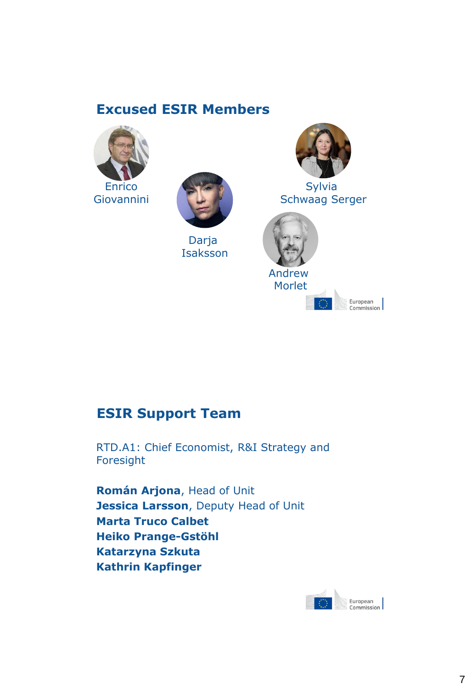# **Excused ESIR Members**

![](_page_6_Picture_1.jpeg)

![](_page_6_Picture_2.jpeg)

Darja Isaksson

![](_page_6_Picture_4.jpeg)

**Sylvia** Schwaag Serger

![](_page_6_Picture_6.jpeg)

European European<br>Commission

# **ESIR Support Team**

RTD.A1: Chief Economist, R&I Strategy and Foresight

**Román Arjona**, Head of Unit **Jessica Larsson**, Deputy Head of Unit **Marta Truco Calbet Heiko Prange-Gstöhl Katarzyna Szkuta Kathrin Kapfinger**

![](_page_6_Picture_11.jpeg)